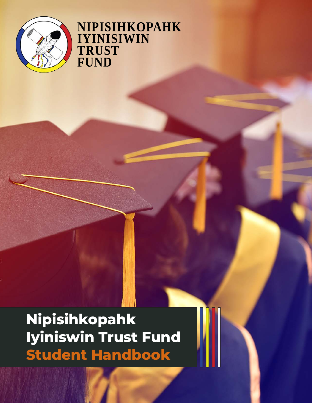

### **NIPISIHKOPAHK IYINISIWIN TRUST FUND**

**Nipisihkopahk Iyiniswin Trust Fund Student Handbook**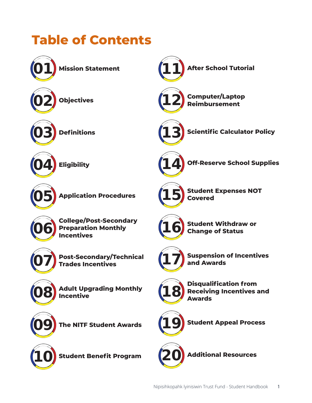## **Table of Contents**

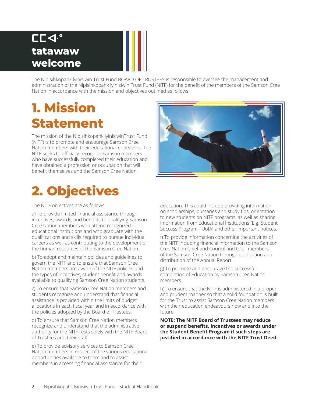### **aa1. @ tatawaw welcome**

The Nipisihkopahk lyinisiwin Trust Fund BOARD OF TRUSTEES is responsible to oversee the management and administration of the Nipisihkopahk lyinisiwin Trust Fund (NITF) for the benefit of the members of the Samson Cree Nation in accordance with the mission and objectives outlined as follows:

## **1. Mission Statement**

The mission of the Nipisihkopahk lyinisiwinTrust Fund (NITF) is to promote and encourage Samson Cree Nation members with their educational endeavors. The NITF seeks to officially recognize Samson members who have successfully completed their education and have obtained a profession or occupation that will benefit themselves and the Samson Cree Nation.

# **2. Objectives**

The NITF objectives are as follows:

a) To provide limited financial assistance through incentives, awards, and benefits to qualifying Samson Cree Nation members who attend recognized educational institutions and who graduate with the qualifications and skills required to pursue individual careers as well as contributing to the development of the human resources of the Samson Cree Nation.

b) To adopt and maintain policies and guidelines to govern the NITF and to ensure that Samson Cree Nation members are aware of the NITF policies and the types of incentives, student benefit and awards available to qualifying Samson Cree Nation students.

c) To ensure that Samson Cree Nation members and students recognize and understand that financial assistance is provided within the limits of budget allocations in each fiscal year and in accordance with the policies adopted by the Board of Trustees.

d) To ensure that Samson Cree Nation members recognize and understand that the administrative authority for the NITF rests solely with the NITF Board of Trustees and their staff.

e) To provide advisory services to Samson Cree Nation members in respect of the various educational opportunities available to them and to assist members in accessing financial assistance for their



education. This could include providing information on scholarships, bursaries and study tips, orientation to new students on NITF programs, as well as sharing information from Educational Institutions (E.g. Student Success Program - UofA) and other important notices.

f) To provide information concerning the activities of the NITF including financial information to the Samson Cree Nation Chief and Council and to all members of the Samson Cree Nation through publication and distribution of the Annual Report.

g) To promote and encourage the successful completion of Education by Samson Cree Nation members.

h) To ensure that the NITF is administered in a proper and prudent manner so that a solid foundation is built for the Trust to assist Samson Cree Nation members with their education endeavours now and into the future.

**NOTE: The NITF Board of Trustees may reduce or suspend benefits, incentives or awards under the Student Benefit Program if such steps are justified in accordance with the NITF Trust Deed.**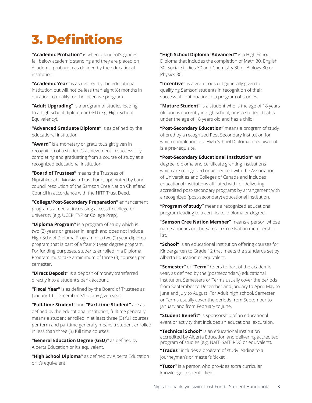# **3. Definitions**

**"Academic Probation"** is when a student's grades fall below academic standing and they are placed on Academic probation as defined by the educational institution.

**"Academic Year"** is as defined by the educational institution but will not be less than eight (8) months in duration to qualify for the incentive program.

**"Adult Upgrading"** is a program of studies leading to a high school diploma or GED (e.g. High School Equivalency).

**"Advanced Graduate Diploma"** is as defined by the educational institution.

**"Award"** is a monetary or gratuitous gift given in recognition of a student's achievement in successfully completing and graduating from a course of study at a recognized educational institution.

**"Board of Trustees"** means the Trustees of Nipisihkopahk lyinisiwin Trust Fund, appointed by band council resolution of the Samson Cree Nation Chief and Council in accordance with the NITF Trust Deed.

**"College/Post-Secondary Preparation"** enhancement programs aimed at increasing access to college or university (e.g. UCEP, TYP or College Prep).

**"Diploma Program"** is a program of study which is two (2) years or greater in length and does not include High School Diploma Program or a two (2) year diploma program that is part of a four (4) year degree program. For funding purposes, students enrolled in a Diploma Program must take a minimum of three (3) courses per semester.

**"Direct Deposit"** is a deposit of money transferred directly into a student's bank account.

**"Fiscal Year"** is as defined by the Board of Trustees as January 1 to December 31 of any given year.

**"Full-time Student"** and **"Part-time Student"** are as defined by the educational institution; fulltime generally means a student enrolled in at least three (3) full courses per term and parttime generally means a student enrolled in less than three (3) full time courses.

**"General Education Degree (GED)"** as defined by Alberta Education or it's equivalent.

**"High School Diploma"** as defined by Alberta Education or it's equivalent.

**"High School Diploma 'Advanced"'** is a High School Diploma that includes the completion of Math 30, English 30, Social Studies 30 and Chemistry 30 or Biology 30 or Physics 30.

**"Incentive"** is a gratuitous gift generally given to qualifying Samson students in recognition of their successful continuation in a program of studies.

**"Mature Student"** is a student who is the age of 18 years old and is currently in high school; or is a student that is under the age of 18 years old and has a child.

**"Post-Secondary Education"** means a program of study offered by a recognized Post Secondary Institution for which completion of a High School Diploma or equivalent is a pre-requisite.

**"Post-Secondary Educational Institution"** are degree, diploma and certificate granting institutions which are recognized or accredited with the Association of Universities and Colleges of Canada and includes educational institutions affiliated with, or delivering accredited post-secondary programs by arrangement with a recognized (post-secondary) educational institution.

**"Program of study''** means a recognized educational program leading to a certificate, diploma or degree.

**"Samson Cree Nation Member"** means a person whose name appears on the Samson Cree Nation membership list.

**"School"** is an educational institution offering courses for Kindergarten to Grade 12 that meets the standards set by Alberta Education or equivalent.

**"Semester''** or **"Term"** refers to part of the academic year, as defined by the (postsecondary) educational institution. Semesters or Terms usually cover the periods from September to December and January to April, May to June and July to August. For Adult high school, Semester or Terms usually cover the periods from September to January and from February to June.

**"Student Benefit"** is sponsorship of an educational event or activity that includes an educational excursion.

**"Technical School"** is an educational institution accredited by Alberta Education and delivering accredited program of studies (e.g. NAIT, SAIT, RDC or equivalent).

**"Trades"** includes a program of study leading to a journeyman's or master's 'ticket'.

**"Tutor"** is a person who provides extra curricular knowledge in specific field.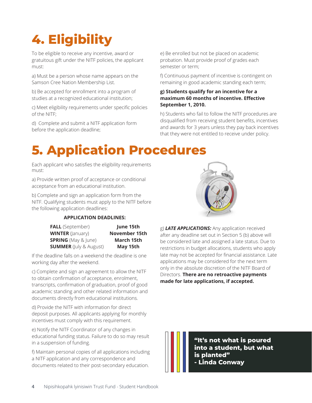# **4. Eligibility**

To be eligible to receive any incentive, award or gratuitous gift under the NITF policies, the applicant must:

a) Must be a person whose name appears on the Samson Cree Nation Membership List.

b) Be accepted for enrollment into a program of studies at a recognized educational institution;

c) Meet eligibility requirements under specific policies of the NITF;

d) Complete and submit a NITF application form before the application deadline;

e) Be enrolled but not be placed on academic probation. Must provide proof of grades each semester or term;

f) Continuous payment of incentive is contingent on remaining in good academic standing each term;

#### **g) Students qualify for an incentive for a maximum 60 months of incentive. Effective September 1, 2010.**

h) Students who fail to follow the NITF procedures are disqualified from receiving student benefits, incentives and awards for 3 years unless they pay back incentives that they were not entitled to receive under policy.

# **5. Application Procedures**

Each applicant who satisfies the eligibility requirements must:

a) Provide written proof of acceptance or conditional acceptance from an educational institution.

b) Complete and sign an application form from the NITF. Qualifying students must apply to the NITF before the following application deadlines:

#### **APPLICATION DEADLINES:**

| <b>FALL</b> (September)       | June 15th            |  |
|-------------------------------|----------------------|--|
| <b>WINTER</b> (January)       | <b>November 15th</b> |  |
| <b>SPRING</b> (May & June)    | March 15th           |  |
| <b>SUMMER</b> (July & August) | May 15th             |  |

If the deadline falls on a weekend the deadline is one working day after the weekend.

c) Complete and sign an agreement to allow the NITF to obtain confirmation of acceptance, enrolment, transcripts, confirmation of graduation, proof of good academic standing and other related information and documents directly from educational institutions.

d) Provide the NITF with information for direct deposit purposes. All applicants applying for monthly incentives must comply with this requirement.

e) Notify the NITF Coordinator of any changes in educational funding status. Failure to do so may result in a suspension of funding.

f) Maintain personal copies of all applications including a NITF application and any correspondence and documents related to their post-secondary education.



g) *LATE APPLICATIONS:* Any application received after any deadline set out in Section 5 (b) above will be considered late and assigned a late status. Due to restrictions in budget allocations, students who apply late may not be accepted for financial assistance. Late applications may be considered for the next term only in the absolute discretion of the NITF Board of Directors. **There are no retroactive payments made for late applications, if accepted.**

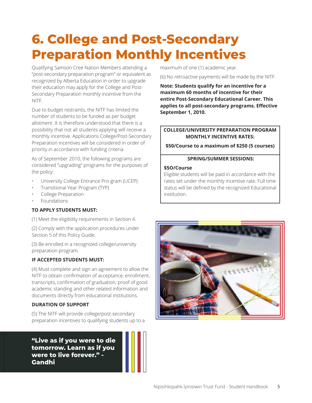## **6. College and Post-Secondary Preparation Monthly Incentives**

Qualifying Samson Cree Nation Members attending a "post-secondary preparation program" or equivalent as recognized by Alberta Education in order to upgrade their education may apply for the College and Post-Secondary Preparation monthly incentive from the NITF.

Due to budget restraints, the NITF has limited the number of students to be funded as per budget allotment. It is therefore understood that there is a possibility that not all students applying will receive a monthly incentive. Applications College/Post-Secondary Preparation incentives will be considered in order of priority in accordance with funding criteria.

As of September 2010, the following programs are considered "upgrading" programs for the purposes of the policy:

- University College Entrance Pro-gram (UCEP)
- Transitional Year Program (TYP)
- College Preparation
- Foundations

#### **TO APPLY STUDENTS MUST:**

(1) Meet the eligibility requirements in Section 4.

(2) Comply with the application procedures under Section 5 of this Policy Guide;

(3) Be enrolled in a recognized college/university preparation program.

#### **IF ACCEPTED STUDENTS MUST:**

(4) Must complete and sign an agreement to allow the NITF to obtain confirmation of acceptance, enrollment, transcripts, confirmation of graduation, proof of good academic standing and other related information and documents directly from educational institutions.

#### **DURATION OF SUPPORT**

(5) The NITF will provide college/post-secondary preparation incentives to qualifying students up to a

**"Live as if you were to die tomorrow. Learn as if you were to live forever." - Gandhi**

maximum of one (1) academic year.

(6) No retroactive payments will be made by the NITF.

**Note: Students qualify for an incentive for a maximum 60 months of incentive for their entire Post-Secondary Educational Career. This applies to all post-secondary programs. Effective September 1, 2010.**

#### **COLLEGE/UNIVERSITY PREPARATION PROGRAM MONTHLY INCENTIVE RATES:**

**\$50/Course to a maximum of \$250 (5 courses)**

#### **SPRING/SUMMER SESSIONS:**

#### **\$5O/Course**

Eligible students will be paid in accordance with the rates set under the monthly incentive rate. Full time status will be defined by the recognized Educational institution.

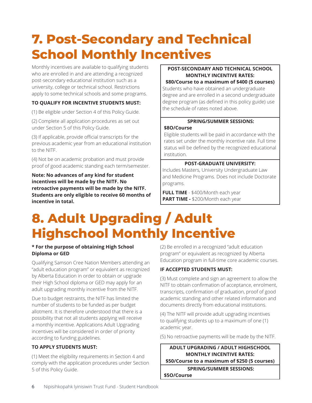## **7. Post-Secondary and Technical School Monthly Incentives**

Monthly incentives are available to qualifying students who are enrolled in and are attending a recognized post-secondary educational institution such as a university, college or technical school. Restrictions apply to some technical schools and some programs.

#### **TO QUALIFY FOR INCENTIVE STUDENTS MUST:**

(1) Be eligible under Section 4 of this Policy Guide.

(2) Complete all application procedures as set out under Section 5 of this Policy Guide.

(3) If applicable, provide official transcripts for the previous academic year from an educational institution to the NITF.

(4) Not be on academic probation and must provide proof of good academic standing each term/semester.

**Note: No advances of any kind for student incentives will be made by the NITF. No retroactive payments will be made by the NITF. Students are only eligible to receive 60 months of incentive in total.**

#### **POST-SECONDARY AND TECHNICAL SCHOOL MONTHLY INCENTIVE RATES:**

**\$80/Course to a maximum of \$400 (5 courses)**

Students who have obtained an undergraduate degree and are enrolled in a second undergraduate degree program (as defined in this policy guide) use the schedule of rates noted above.

#### **SPRING/SUMMER SESSIONS:**

#### **\$8O/Course**

Eligible students will be paid in accordance with the rates set under the monthly incentive rate. Full time status will be defined by the recognized educational institution.

#### **POST-GRADUATE UNIVERSITY:**

Includes Masters, University Undergraduate Law and Medicine Programs. Does not include Doctorate programs.

**FULL TIME** - \$400/Month each year **PART TIME -** \$200/Month each year

## **8. Adult Upgrading / Adult Highschool Monthly Incentive**

#### **\* For the purpose of obtaining High School Diploma or GED**

Qualifying Samson Cree Nation Members attending an "adult education program" or equivalent as recognized by Alberta Education in order to obtain or upgrade their High School diploma or GED may apply for an adult upgrading monthly incentive from the NITF.

Due to budget restraints, the NITF has limited the number of students to be funded as per budget allotment. It is therefore understood that there is a possibility that not all students applying will receive a monthly incentive. Applications Adult Upgrading incentives will be considered in order of priority according to funding guidelines.

#### **TO APPLY STUDENTS MUST:**

(1) Meet the eligibility requirements in Section 4 and comply with the application procedures under Section 5 of this Policy Guide.

(2) Be enrolled in a recognized "adult education program" or equivalent as recognized by Alberta Education program in full-time core academic courses.

#### **IF ACCEPTED STUDENTS MUST:**

(3) Must complete and sign an agreement to allow the NITF to obtain confirmation of acceptance, enrolment, transcripts, confirmation of graduation, proof of good academic standing and other related information and documents directly from educational institutions.

(4) The NITF will provide adult upgrading incentives to qualifying students up to a maximum of one (1) academic year.

(5) No retroactive payments will be made by the NITF.

**ADULT UPGRADING / ADULT HIGHSCHOOL MONTHLY INCENTIVE RATES: \$50/Course to a maximum of \$250 (5 courses) SPRING/SUMMER SESSIONS:**

**\$5O/Course**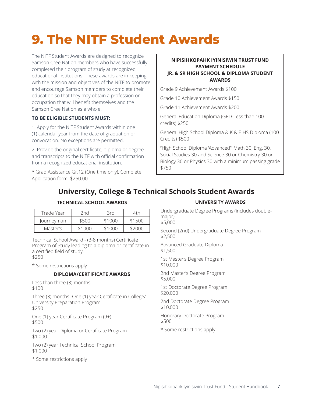# **9. The NITF Student Awards**

The NITF Student Awards are designed to recognize Samson Cree Nation members who have successfully completed their program of study at recognized educational institutions. These awards are in keeping with the mission and objectives of the NITF to promote and encourage Samson members to complete their education so that they may obtain a profession or occupation that will benefit themselves and the Samson Cree Nation as a whole.

#### **TO BE ELIGIBLE STUDENTS MUST:**

1. Apply for the NITF Student Awards within one (1) calendar year from the date of graduation or convocation. No exceptions are permitted.

2. Provide the original certificate, diploma or degree and transcripts to the NITF with official confirmation from a recognized educational institution.

\* Grad Assistance Gr.12 (One time only), Complete Application form. \$250.00

#### **NIPISIHKOPAHK IYINISIWIN TRUST FUND PAYMENT SCHEDULE JR. & SR HIGH SCHOOL & DIPLOMA STUDENT AWARDS**

Grade 9 Achievement Awards \$100

Grade 10 Achievement Awards \$150

Grade 11 Achievement Awards \$200

General Education Diploma (GED-Less than 100 credits) \$250

General High School Diploma & K & E HS Diploma (100 Credits) \$500

"High School Diploma 'Advanced"' Math 30, Eng. 30, Social Studies 30 and Science 30 or Chemistry 30 or Biology 30 or Physics 30 with a minimum passing grade \$750

### **University, College & Technical Schools Student Awards**

#### **TECHNICAL SCHOOL AWARDS**

| Trade Year | 2nd    | 3rd    | ⊿th    |
|------------|--------|--------|--------|
| Journeyman | \$500  | \$1000 | \$1500 |
| Master's   | \$1000 | \$1000 |        |

Technical School Award - (3-8 months) Certificate Program of Study leading to a diploma or certificate in a certified field of study.

\$250

\* Some restrictions apply

#### **DIPLOMA/CERTIFICATE AWARDS**

Less than three (3) months \$100

Three (3) months -One (1) year Certificate in College/ University Preparation Program \$250

One (1) year Certificate Program (9+) \$500

Two (2) year Diploma or Certificate Program \$1,000

Two (2) year Technical School Program \$1,000

\* Some restrictions apply

#### **UNIVERSITY AWARDS**

Undergraduate Degree Programs (includes doublemajor)

\$5,000

Second (2nd) Undergraduate Degree Program \$2,500

Advanced Graduate Diploma \$1,500

1st Master's Degree Program \$10,000

2nd Master's Degree Program \$5,000

1st Doctorate Degree Program \$20,000

2nd Doctorate Degree Program \$10,000

Honorary Doctorate Program  $$500$ 

\* Some restrictions apply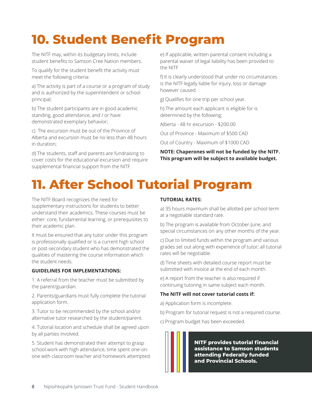# **10. Student Benefit Program**

The NITF may, within its budgetary limits, include student benefits to Samson Cree Nation members.

To qualify for the student benefit the activity must meet the following criteria:

a) The activity is part of a course or a program of study and is authorized by the superintendent or school principal;

b) The student participants are in good academic standing, good attendance, and / or have demonstrated exemplary behavior;

c) The excursion must be out of the Province of Alberta and excursion must be no less than 48 hours in duration;

d) The students, staff and parents are fundraising to cover costs for the educational excursion and require supplemental financial support from the NITF.

e) If applicable, written parental consent including a parental waiver of legal liability has been provided to the NITF

f) It is clearly understood that under no circumstances is the NITF legally liable for injury, loss or damage however caused.

g) Qualifies for one trip per school year.

h) The amount each applicant is eligible for is determined by the following;

Alberta - 48 hr excursion - \$200.00

Out of Province - Maximum of \$500 CAD

Out of Country - Maximum of \$1000 CAD

**NOTE: Chaperones will not be funded by the NITF. This program will be subject to available budget.**

# **11. After School Tutorial Program**

The NITF Board recognizes the need for supplementary instructions for students to better understand their academics. These courses must be either: core, fundamental learning, or prerequisites to their academic plan.

It must be ensured that any tutor under this program is professionally qualified or is a current high school or post-secondary student who has demonstrated the qualities of mastering the course information which the student needs.

#### **GUIDELINES FOR IMPLEMENTATIONS:**

1. A referral from the teacher must be submitted by the parent/guardian.

2. Parents/guardians must fully complete the tutorial application form.

3. Tutor to be recommended by the school and/or alternative tutor researched by the student/parent.

4. Tutorial location and schedule shall be agreed upon by all parties involved.

5. Student has demonstrated their attempt to grasp school work with high attendance, time spent one-onone with classroom teacher and homework attempted.

#### **TUTORIAL RATES:**

a) 35 hours maximum shall be allotted per school term at a negotiable standard rate.

b) The program is available from October-June, and special circumstances on any other months of the year.

c) Due to limited funds within the program and various grades set out along with experience of tutor; all tutorial rates will be negotiable.

d) Time sheets with detailed course report must be submitted with invoice at the end of each month.

e) A report from the teacher is also required if continuing tutoring in same subject each month.

#### **The NITF will not cover tutorial costs if:**

a) Application form is incomplete.

b) Program for tutorial request is not a required course.

c) Program budget has been exceeded.

**NITF provides tutorial financial assistance to Samson students attending Federally funded and Provincial Schools.**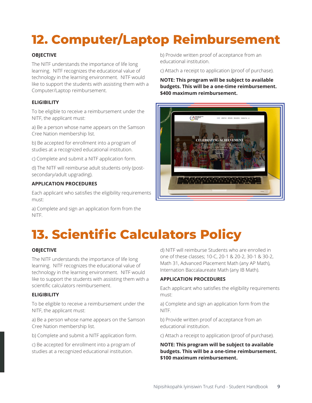# **12. Computer/Laptop Reimbursement**

#### **OBJECTIVE**

The NITF understands the importance of life long learning. NITF recognizes the educational value of technology in the learning environment. NITF would like to support the students with assisting them with a Computer/Laptop reimbursement.

#### **ELIGIBILITY**

To be eligible to receive a reimbursement under the NITF, the applicant must:

a) Be a person whose name appears on the Samson Cree Nation membership list.

b) Be accepted for enrollment into a program of studies at a recognized educational institution.

c) Complete and submit a NITF application form.

d) The NITF will reimburse adult students only (postsecondary/adult upgrading).

#### **APPLICATION PROCEDURES**

Each applicant who satisfies the eligibility requirements must:

a) Complete and sign an application form from the NITF.

b) Provide written proof of acceptance from an educational institution.

c) Attach a receipt to application (proof of purchase).

**NOTE: This program will be subject to available budgets. This will be a one-time reimbursement. \$400 maximum reimbursement.**



# **13. Scientific Calculators Policy**

#### **OBJECTIVE**

The NITF understands the importance of life long learning. NITF recognizes the educational value of technology in the learning environment. NITF would like to support the students with assisting them with a scientific calculators reimbursement.

#### **ELIGIBILITY**

To be eligible to receive a reimbursement under the NITF, the applicant must:

a) Be a person whose name appears on the Samson Cree Nation membership list.

b) Complete and submit a NITF application form.

c) Be accepted for enrollment into a program of studies at a recognized educational institution.

d) NITF will reimburse Students who are enrolled in one of these classes; 10-C, 20-1 & 20-2, 30-1 & 30-2, Math 31, Advanced Placement Math (any AP Math), Internation Baccalaureate Math (any IB Math).

#### **APPLICATION PROCEDURES**

Each applicant who satisfies the eligibility requirements must:

a) Complete and sign an application form from the NITF.

b) Provide written proof of acceptance from an educational institution.

c) Attach a receipt to application (proof of purchase).

**NOTE: This program will be subject to available budgets. This will be a one-time reimbursement. \$100 maximum reimbursement.**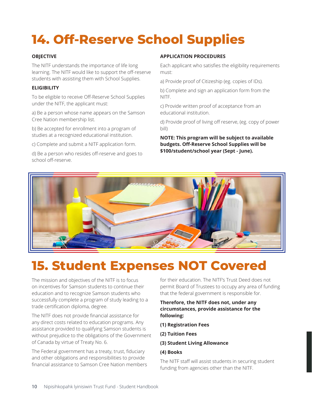# **14. Off-Reserve School Supplies**

#### **OBJECTIVE**

The NITF understands the importance of life long learning. The NITF would like to support the off-reserve students with assisting them with School Supplies.

#### **ELIGIBILITY**

To be eligible to receive Off-Reserve School Supplies under the NITF, the applicant must:

a) Be a person whose name appears on the Samson Cree Nation membership list.

b) Be accepted for enrollment into a program of studies at a recognized educational institution.

c) Complete and submit a NITF application form.

d) Be a person who resides off-reserve and goes to school off-reserve.

#### **APPLICATION PROCEDURES**

Each applicant who satisfies the eligibility requirements must:

a) Provide proof of Citizeship (eg. copies of IDs).

b) Complete and sign an application form from the NITF.

c) Provide written proof of acceptance from an educational institution.

d) Provide proof of living off reserve, (eg. copy of power bill)

**NOTE: This program will be subject to available budgets. Off-Reserve School Supplies will be \$100/student/school year (Sept - June).**



### **15. Student Expenses NOT Covered**

The mission and objectives of the NITF is to focus on incentives for Samson students to continue their education and to recognize Samson students who successfully complete a program of study leading to a trade certification diploma, degree.

The NITF does not provide financial assistance for any direct costs related to education programs. Any assistance provided to qualifying Samson students is without prejudice to the obligations of the Government of Canada by virtue of Treaty No. 6.

The Federal government has a treaty, trust, fiduciary and other obligations and responsibilities to provide financial assistance to Samson Cree Nation members for their education. The NITF's Trust Deed does not permit Board of Trustees to occupy any area of funding that the federal government is responsible for.

#### **Therefore, the NITF does not, under any circumstances, provide assistance for the following:**

- **(1) Registration Fees**
- **(2) Tuition Fees**
- **(3) Student Living Allowance**

#### **(4) Books**

The NITF staff will assist students in securing student funding from agencies other than the NITF.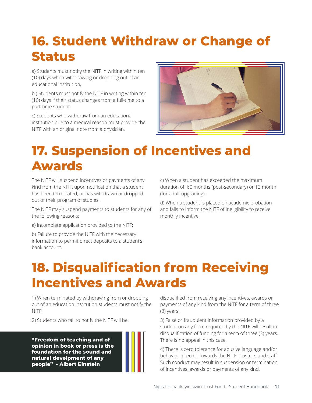### **16. Student Withdraw or Change of Status**

a) Students must notify the NITF in writing within ten (10) days when withdrawing or dropping out of an educational institution,

b ) Students must notify the NITF in writing within ten (10) days if their status changes from a full-time to a part-time student.

c) Students who withdraw from an educational institution due to a medical reason must provide the NITF with an original note from a physician.



### **17. Suspension of Incentives and Awards**

The NITF will suspend incentives or payments of any kind from the NITF, upon notification that a student has been terminated, or has withdrawn or dropped out of their program of studies.

The NITF may suspend payments to students for any of the following reasons:

a) Incomplete application provided to the NITF;

b) Failure to provide the NITF with the necessary information to permit direct deposits to a student's bank account.

c) When a student has exceeded the maximum duration of 60 months (post-secondary) or 12 month (for adult upgrading).

d) When a student is placed on academic probation and fails to inform the NITF of ineligibility to receive monthly incentive.

## **18. Disqualification from Receiving Incentives and Awards**

1) When terminated by withdrawing from or dropping out of an education institution students must notify the NITF.

2) Students who fail to notify the NITF will be

**"Freedom of teaching and of opinion in book or press is the foundation for the sound and natural develpment of any people" - Albert Einstein**



3) False or fraudulent information provided by a student on any form required by the NITF will result in disqualification of funding for a term of three (3) years. There is no appeal in this case.

4) There is zero tolerance for abusive language and/or behavior directed towards the NITF Trustees and staff. Such conduct may result in suspension or termination of incentives, awards or payments of any kind.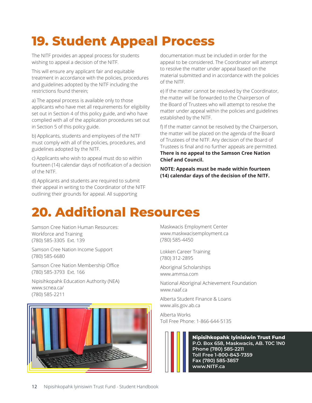# **19. Student Appeal Process**

The NITF provides an appeal process for students wishing to appeal a decision of the NITF.

This will ensure any applicant fair and equitable treatment in accordance with the policies, procedures and guidelines adopted by the NITF including the restrictions found therein;

a) The appeal process is available only to those applicants who have met all requirements for eligibility set out in Section 4 of this policy guide, and who have complied with all of the application procedures set out in Section 5 of this policy guide.

b) Applicants, students and employees of the NITF must comply with all of the policies, procedures, and guidelines adopted by the NITF.

c) Applicants who wish to appeal must do so within fourteen (14) calendar days of notification of a decision of the NITF.

d) Applicants and students are required to submit their appeal in writing to the Coordinator of the NITF outlining their grounds for appeal. All supporting

documentation must be included in order for the appeal to be considered. The Coordinator will attempt to resolve the matter under appeal based on the material submitted and in accordance with the policies of the NITF.

e) If the matter cannot be resolved by the Coordinator, the matter will be forwarded to the Chairperson of the Board of Trustees who will attempt to resolve the matter under appeal within the policies and guidelines established by the NITF.

f) If the matter cannot be resolved by the Chairperson, the matter will be placed on the agenda of the Board of Trustees of the NITF. Any decision of the Board of Trustees is final and no further appeals are permitted. **There is no appeal to the Samson Cree Nation Chief and Council.**

**NOTE: Appeals must be made within fourteen (14) calendar days of the decision of the NITF.**

## **20. Additional Resources**

Samson Cree Nation Human Resources: Workforce and Training (780) 585-3305 Ext. 139

Samson Cree Nation Income Support (780) 585-6680

Samson Cree Nation Membership Office (780) 585-3793 Ext. 166

Nipisihkopahk Education Authority (NEA) www.scnea.ca/ (780) 585-2211



Maskwacis Employment Center www.maskwacisemployment.ca (780) 585-4450

Lokken Career Training (780) 312-2895

Aboriginal Scholarships www.ammsa.com

National Aboriginal Achievement Foundation www.naaf.ca

Alberta Student Finance & Loans www.alis.gov.ab.ca

Alberta Works Toll Free Phone: 1-866-644-5135